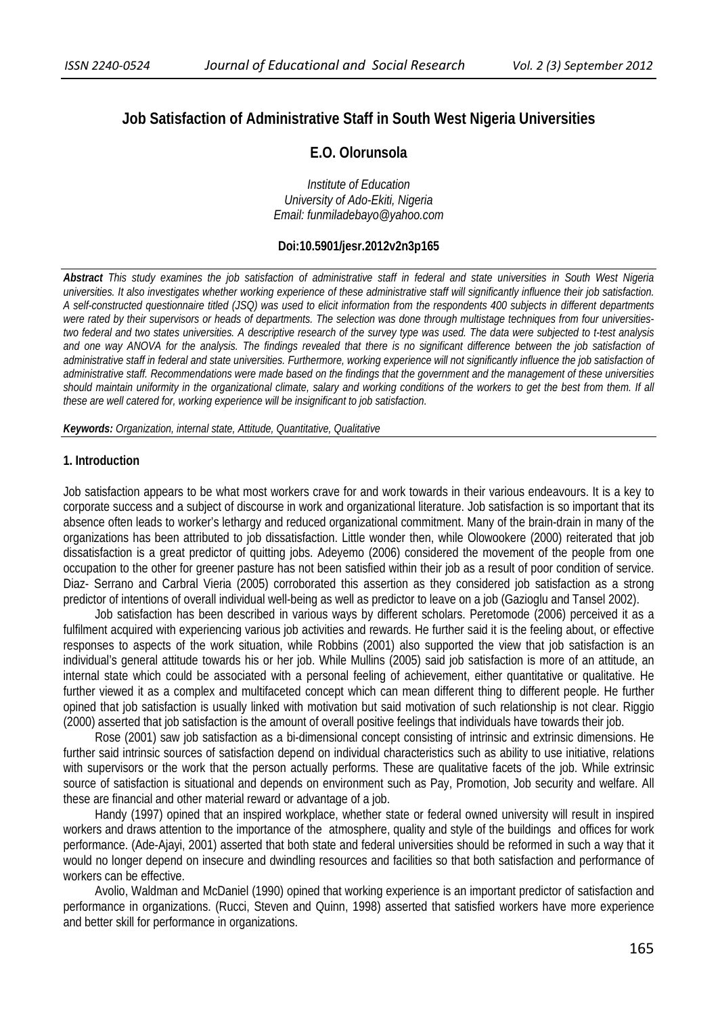# **Job Satisfaction of Administrative Staff in South West Nigeria Universities**

# **E.O. Olorunsola**

*Institute of Education University of Ado-Ekiti, Nigeria Email: funmiladebayo@yahoo.com* 

### **Doi:10.5901/jesr.2012v2n3p165**

*Abstract This study examines the job satisfaction of administrative staff in federal and state universities in South West Nigeria universities. It also investigates whether working experience of these administrative staff will significantly influence their job satisfaction. A self-constructed questionnaire titled (JSQ) was used to elicit information from the respondents 400 subjects in different departments were rated by their supervisors or heads of departments. The selection was done through multistage techniques from four universitiestwo federal and two states universities. A descriptive research of the survey type was used. The data were subjected to t-test analysis*  and one way ANOVA for the analysis. The findings revealed that there is no significant difference between the job satisfaction of administrative staff in federal and state universities. Furthermore, working experience will not significantly influence the job satisfaction of *administrative staff. Recommendations were made based on the findings that the government and the management of these universities should maintain uniformity in the organizational climate, salary and working conditions of the workers to get the best from them. If all these are well catered for, working experience will be insignificant to job satisfaction.* 

*Keywords: Organization, internal state, Attitude, Quantitative, Qualitative* 

#### **1. Introduction**

Job satisfaction appears to be what most workers crave for and work towards in their various endeavours. It is a key to corporate success and a subject of discourse in work and organizational literature. Job satisfaction is so important that its absence often leads to worker's lethargy and reduced organizational commitment. Many of the brain-drain in many of the organizations has been attributed to job dissatisfaction. Little wonder then, while Olowookere (2000) reiterated that job dissatisfaction is a great predictor of quitting jobs. Adeyemo (2006) considered the movement of the people from one occupation to the other for greener pasture has not been satisfied within their job as a result of poor condition of service. Diaz- Serrano and Carbral Vieria (2005) corroborated this assertion as they considered job satisfaction as a strong predictor of intentions of overall individual well-being as well as predictor to leave on a job (Gazioglu and Tansel 2002).

Job satisfaction has been described in various ways by different scholars. Peretomode (2006) perceived it as a fulfilment acquired with experiencing various job activities and rewards. He further said it is the feeling about, or effective responses to aspects of the work situation, while Robbins (2001) also supported the view that job satisfaction is an individual's general attitude towards his or her job. While Mullins (2005) said job satisfaction is more of an attitude, an internal state which could be associated with a personal feeling of achievement, either quantitative or qualitative. He further viewed it as a complex and multifaceted concept which can mean different thing to different people. He further opined that job satisfaction is usually linked with motivation but said motivation of such relationship is not clear. Riggio (2000) asserted that job satisfaction is the amount of overall positive feelings that individuals have towards their job.

Rose (2001) saw job satisfaction as a bi-dimensional concept consisting of intrinsic and extrinsic dimensions. He further said intrinsic sources of satisfaction depend on individual characteristics such as ability to use initiative, relations with supervisors or the work that the person actually performs. These are qualitative facets of the job. While extrinsic source of satisfaction is situational and depends on environment such as Pay, Promotion, Job security and welfare. All these are financial and other material reward or advantage of a job.

Handy (1997) opined that an inspired workplace, whether state or federal owned university will result in inspired workers and draws attention to the importance of the atmosphere, quality and style of the buildings and offices for work performance. (Ade-Ajayi, 2001) asserted that both state and federal universities should be reformed in such a way that it would no longer depend on insecure and dwindling resources and facilities so that both satisfaction and performance of workers can be effective.

Avolio, Waldman and McDaniel (1990) opined that working experience is an important predictor of satisfaction and performance in organizations. (Rucci, Steven and Quinn, 1998) asserted that satisfied workers have more experience and better skill for performance in organizations.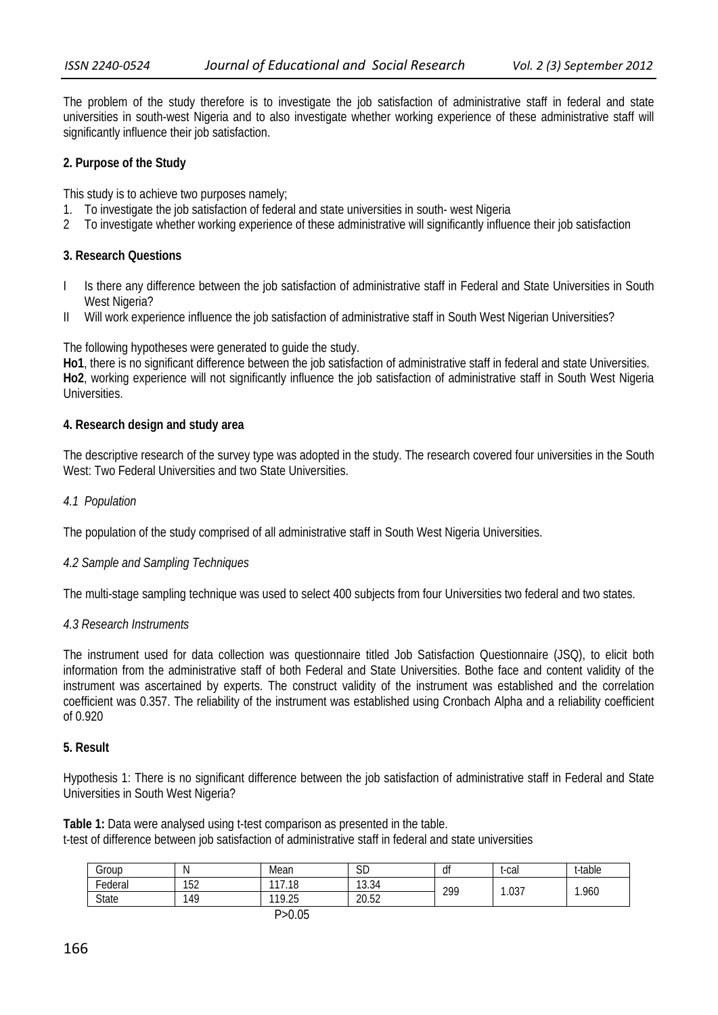The problem of the study therefore is to investigate the job satisfaction of administrative staff in federal and state universities in south-west Nigeria and to also investigate whether working experience of these administrative staff will significantly influence their job satisfaction.

## **2. Purpose of the Study**

This study is to achieve two purposes namely;

- 1. To investigate the job satisfaction of federal and state universities in south- west Nigeria
- 2 To investigate whether working experience of these administrative will significantly influence their job satisfaction

### **3. Research Questions**

- I Is there any difference between the job satisfaction of administrative staff in Federal and State Universities in South West Nigeria?
- II Will work experience influence the job satisfaction of administrative staff in South West Nigerian Universities?

The following hypotheses were generated to guide the study.

**Ho1**, there is no significant difference between the job satisfaction of administrative staff in federal and state Universities. **Ho2**, working experience will not significantly influence the job satisfaction of administrative staff in South West Nigeria Universities.

### **4. Research design and study area**

The descriptive research of the survey type was adopted in the study. The research covered four universities in the South West: Two Federal Universities and two State Universities.

### *4.1 Population*

The population of the study comprised of all administrative staff in South West Nigeria Universities.

## *4.2 Sample and Sampling Techniques*

The multi-stage sampling technique was used to select 400 subjects from four Universities two federal and two states.

### *4.3 Research Instruments*

The instrument used for data collection was questionnaire titled Job Satisfaction Questionnaire (JSQ), to elicit both information from the administrative staff of both Federal and State Universities. Bothe face and content validity of the instrument was ascertained by experts. The construct validity of the instrument was established and the correlation coefficient was 0.357. The reliability of the instrument was established using Cronbach Alpha and a reliability coefficient of 0.920

### **5. Result**

Hypothesis 1: There is no significant difference between the job satisfaction of administrative staff in Federal and State Universities in South West Nigeria?

**Table 1:** Data were analysed using t-test comparison as presented in the table. t-test of difference between job satisfaction of administrative staff in federal and state universities

| roup-        |     | Mean       | <b>SD</b> | đt  | t-cal | t-table |
|--------------|-----|------------|-----------|-----|-------|---------|
| -<br>Federal | 152 | .18<br>117 | 13.34     | 299 | .037  | 1.960   |
| <b>State</b> | 49، | 119.25     | 20.52     |     |       |         |
|              |     | - - --     |           |     |       |         |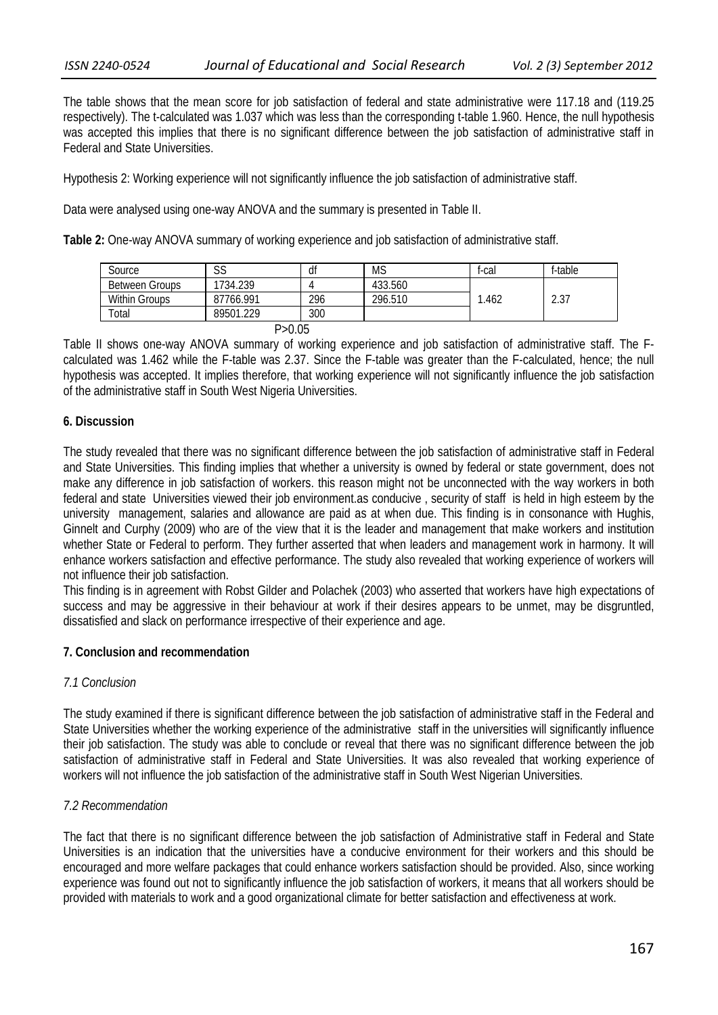The table shows that the mean score for job satisfaction of federal and state administrative were 117.18 and (119.25 respectively). The t-calculated was 1.037 which was less than the corresponding t-table 1.960. Hence, the null hypothesis was accepted this implies that there is no significant difference between the job satisfaction of administrative staff in Federal and State Universities.

Hypothesis 2: Working experience will not significantly influence the job satisfaction of administrative staff.

Data were analysed using one-way ANOVA and the summary is presented in Table II.

**Table 2:** One-way ANOVA summary of working experience and job satisfaction of administrative staff.

| Source                | $\sim$<br>აა | df  | <b>MS</b> | t-cal | f-table |  |  |  |
|-----------------------|--------------|-----|-----------|-------|---------|--|--|--|
| <b>Between Groups</b> | 734.239      |     | 433.560   |       |         |  |  |  |
| <b>Within Groups</b>  | 87766.991    | 296 | 296.510   | .462  | 2.37    |  |  |  |
| Total                 | 89501.229    | 300 |           |       |         |  |  |  |
| P > 0.05              |              |     |           |       |         |  |  |  |

Table II shows one-way ANOVA summary of working experience and job satisfaction of administrative staff. The Fcalculated was 1.462 while the F-table was 2.37. Since the F-table was greater than the F-calculated, hence; the null hypothesis was accepted. It implies therefore, that working experience will not significantly influence the job satisfaction of the administrative staff in South West Nigeria Universities.

## **6. Discussion**

The study revealed that there was no significant difference between the job satisfaction of administrative staff in Federal and State Universities. This finding implies that whether a university is owned by federal or state government, does not make any difference in job satisfaction of workers. this reason might not be unconnected with the way workers in both federal and state Universities viewed their job environment.as conducive , security of staff is held in high esteem by the university management, salaries and allowance are paid as at when due. This finding is in consonance with Hughis, Ginnelt and Curphy (2009) who are of the view that it is the leader and management that make workers and institution whether State or Federal to perform. They further asserted that when leaders and management work in harmony. It will enhance workers satisfaction and effective performance. The study also revealed that working experience of workers will not influence their job satisfaction.

This finding is in agreement with Robst Gilder and Polachek (2003) who asserted that workers have high expectations of success and may be aggressive in their behaviour at work if their desires appears to be unmet, may be disgruntled, dissatisfied and slack on performance irrespective of their experience and age.

## **7. Conclusion and recommendation**

## *7.1 Conclusion*

The study examined if there is significant difference between the job satisfaction of administrative staff in the Federal and State Universities whether the working experience of the administrative staff in the universities will significantly influence their job satisfaction. The study was able to conclude or reveal that there was no significant difference between the job satisfaction of administrative staff in Federal and State Universities. It was also revealed that working experience of workers will not influence the job satisfaction of the administrative staff in South West Nigerian Universities.

## *7.2 Recommendation*

The fact that there is no significant difference between the job satisfaction of Administrative staff in Federal and State Universities is an indication that the universities have a conducive environment for their workers and this should be encouraged and more welfare packages that could enhance workers satisfaction should be provided. Also, since working experience was found out not to significantly influence the job satisfaction of workers, it means that all workers should be provided with materials to work and a good organizational climate for better satisfaction and effectiveness at work.